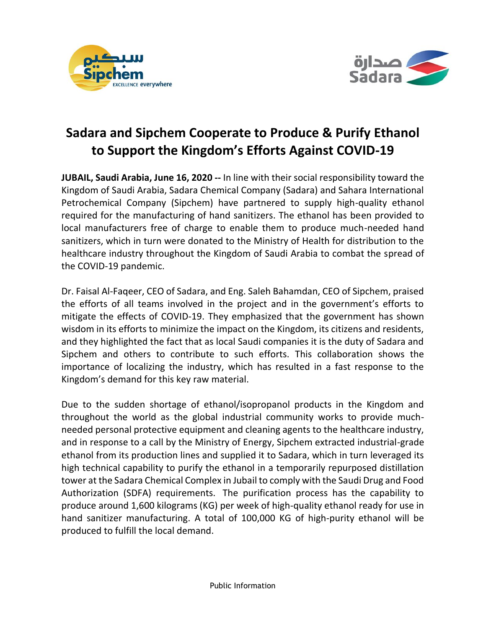



# **Sadara and Sipchem Cooperate to Produce & Purify Ethanol to Support the Kingdom's Efforts Against COVID-19**

**JUBAIL, Saudi Arabia, June 16, 2020 --** In line with their social responsibility toward the Kingdom of Saudi Arabia, Sadara Chemical Company (Sadara) and Sahara International Petrochemical Company (Sipchem) have partnered to supply high-quality ethanol required for the manufacturing of hand sanitizers. The ethanol has been provided to local manufacturers free of charge to enable them to produce much-needed hand sanitizers, which in turn were donated to the Ministry of Health for distribution to the healthcare industry throughout the Kingdom of Saudi Arabia to combat the spread of the COVID-19 pandemic.

Dr. Faisal Al-Faqeer, CEO of Sadara, and Eng. Saleh Bahamdan, CEO of Sipchem, praised the efforts of all teams involved in the project and in the government's efforts to mitigate the effects of COVID-19. They emphasized that the government has shown wisdom in its efforts to minimize the impact on the Kingdom, its citizens and residents, and they highlighted the fact that as local Saudi companies it is the duty of Sadara and Sipchem and others to contribute to such efforts. This collaboration shows the importance of localizing the industry, which has resulted in a fast response to the Kingdom's demand for this key raw material.

Due to the sudden shortage of ethanol/isopropanol products in the Kingdom and throughout the world as the global industrial community works to provide muchneeded personal protective equipment and cleaning agents to the healthcare industry, and in response to a call by the Ministry of Energy, Sipchem extracted industrial-grade ethanol from its production lines and supplied it to Sadara, which in turn leveraged its high technical capability to purify the ethanol in a temporarily repurposed distillation tower at the Sadara Chemical Complex in Jubail to comply with the Saudi Drug and Food Authorization (SDFA) requirements. The purification process has the capability to produce around 1,600 kilograms (KG) per week of high-quality ethanol ready for use in hand sanitizer manufacturing. A total of 100,000 KG of high-purity ethanol will be produced to fulfill the local demand.